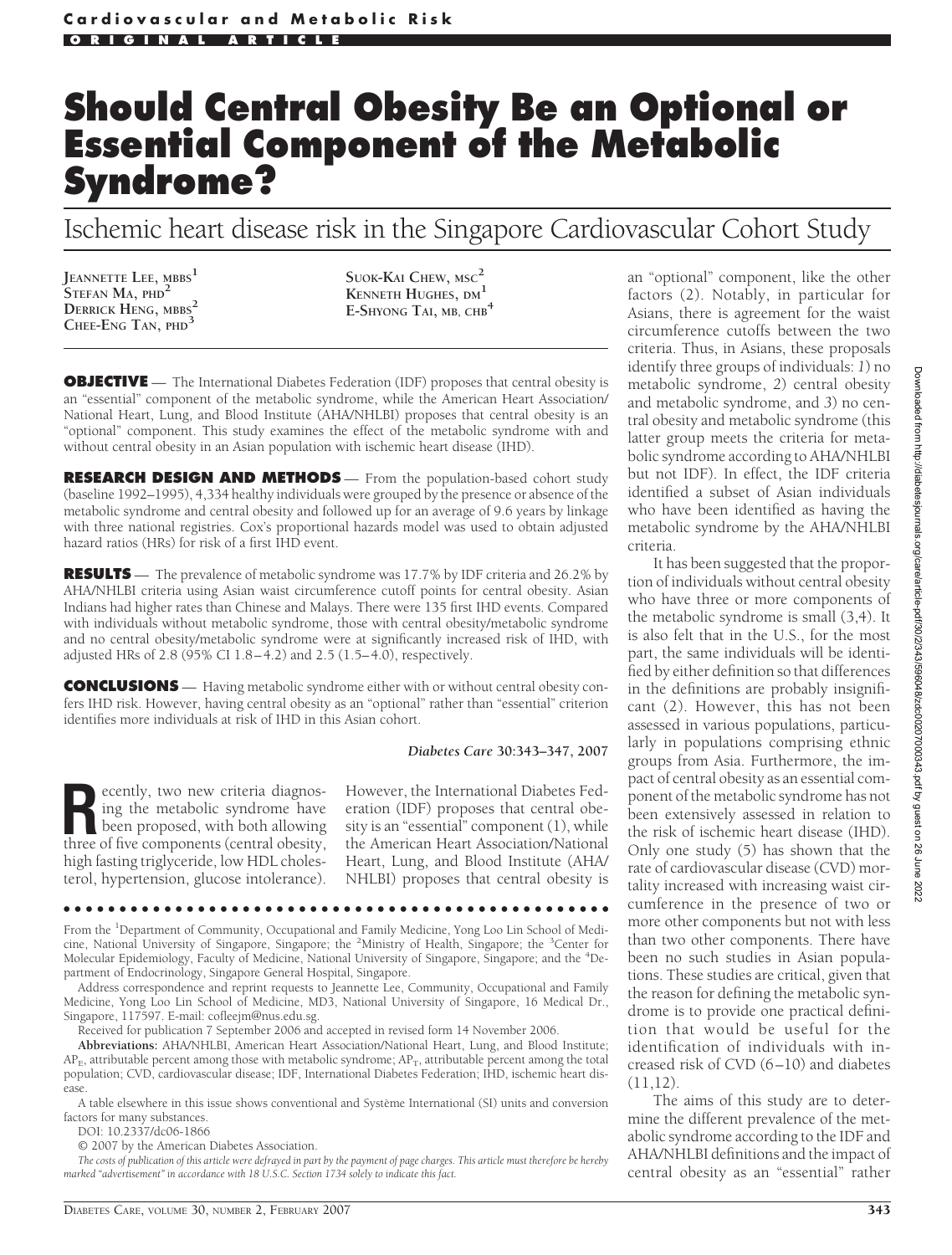# **Should Central Obesity Be an Optional or Essential Component of the Metabolic Syndrome?**

Ischemic heart disease risk in the Singapore Cardiovascular Cohort Study

**JEANNETTE LEE, MBBS<sup>1</sup> STEFAN MA, PHD<sup>2</sup> DERRICK HENG, MBBS<sup>2</sup> CHEE-ENG TAN, PHD<sup>3</sup>**

**SUOK-KAI CHEW, MSC<sup>2</sup> KENNETH HUGHES, DM<sup>1</sup> E-SHYONG TAI, MB, CHB<sup>4</sup>**

**OBJECTIVE** — The International Diabetes Federation (IDF) proposes that central obesity is an "essential" component of the metabolic syndrome, while the American Heart Association/ National Heart, Lung, and Blood Institute (AHA/NHLBI) proposes that central obesity is an "optional" component. This study examines the effect of the metabolic syndrome with and without central obesity in an Asian population with ischemic heart disease (IHD).

**RESEARCH DESIGN AND METHODS** - From the population-based cohort study (baseline 1992–1995), 4,334 healthy individuals were grouped by the presence or absence of the metabolic syndrome and central obesity and followed up for an average of 9.6 years by linkage with three national registries. Cox's proportional hazards model was used to obtain adjusted hazard ratios (HRs) for risk of a first IHD event.

**RESULTS** — The prevalence of metabolic syndrome was 17.7% by IDF criteria and 26.2% by AHA/NHLBI criteria using Asian waist circumference cutoff points for central obesity. Asian Indians had higher rates than Chinese and Malays. There were 135 first IHD events. Compared with individuals without metabolic syndrome, those with central obesity/metabolic syndrome and no central obesity/metabolic syndrome were at significantly increased risk of IHD, with adjusted HRs of 2.8 (95% CI 1.8–4.2) and 2.5 (1.5–4.0), respectively.

**CONCLUSIONS** — Having metabolic syndrome either with or without central obesity confers IHD risk. However, having central obesity as an "optional" rather than "essential" criterion identifies more individuals at risk of IHD in this Asian cohort.

#### *Diabetes Care* **30:343–347, 2007**

**Recently, two new criteria diagnosing the metabolic syndrome have<br>been proposed, with both allowing<br>three of five components (central obesity** ing the metabolic syndrome have three of five components (central obesity, high fasting triglyceride, low HDL cholesterol, hypertension, glucose intolerance). However, the International Diabetes Federation (IDF) proposes that central obesity is an "essential" component (1), while the American Heart Association/National Heart, Lung, and Blood Institute (AHA/ NHLBI) proposes that central obesity is

From the <sup>1</sup>Department of Community, Occupational and Family Medicine, Yong Loo Lin School of Medicine, National University of Singapore, Singapore; the <sup>2</sup>Ministry of Health, Singapore; the <sup>3</sup>Center for Molecular Epidemiology, Faculty of Medicine, National University of Singapore, Singapore; and the <sup>4</sup>Department of Endocrinology, Singapore General Hospital, Singapore.

●●●●●●●●●●●●●●●●●●●●●●●●●●●●●●●●●●●●●●●●●●●●●●●●●

Address correspondence and reprint requests to Jeannette Lee, Community, Occupational and Family Medicine, Yong Loo Lin School of Medicine, MD3, National University of Singapore, 16 Medical Dr., Singapore, 117597. E-mail: cofleejm@nus.edu.sg.

Received for publication 7 September 2006 and accepted in revised form 14 November 2006.

**Abbreviations:** AHA/NHLBI, American Heart Association/National Heart, Lung, and Blood Institute;  $AP_{E}$ , attributable percent among those with metabolic syndrome;  $AP_{T}$ , attributable percent among the total population; CVD, cardiovascular disease; IDF, International Diabetes Federation; IHD, ischemic heart disease.

A table elsewhere in this issue shows conventional and Système International (SI) units and conversion factors for many substances.

DOI: 10.2337/dc06-1866

© 2007 by the American Diabetes Association.

*The costs of publication of this article were defrayed in part by the payment of page charges. This article must therefore be hereby marked "advertisement" in accordance with 18 U.S.C. Section 1734 solely to indicate this fact.*

an "optional" component, like the other factors (2). Notably, in particular for Asians, there is agreement for the waist circumference cutoffs between the two criteria. Thus, in Asians, these proposals identify three groups of individuals: *1*) no metabolic syndrome, *2*) central obesity and metabolic syndrome, and *3*) no central obesity and metabolic syndrome (this latter group meets the criteria for metabolic syndrome according to AHA/NHLBI but not IDF). In effect, the IDF criteria identified a subset of Asian individuals who have been identified as having the metabolic syndrome by the AHA/NHLBI criteria.

It has been suggested that the proportion of individuals without central obesity who have three or more components of the metabolic syndrome is small (3,4). It is also felt that in the U.S., for the most part, the same individuals will be identified by either definition so that differences in the definitions are probably insignificant (2). However, this has not been assessed in various populations, particularly in populations comprising ethnic groups from Asia. Furthermore, the impact of central obesity as an essential component of the metabolic syndrome has not been extensively assessed in relation to the risk of ischemic heart disease (IHD). Only one study (5) has shown that the rate of cardiovascular disease (CVD) mortality increased with increasing waist circumference in the presence of two or more other components but not with less than two other components. There have been no such studies in Asian populations. These studies are critical, given that the reason for defining the metabolic syndrome is to provide one practical definition that would be useful for the identification of individuals with increased risk of CVD (6–10) and diabetes  $(11.12).$ 

The aims of this study are to determine the different prevalence of the metabolic syndrome according to the IDF and AHA/NHLBI definitions and the impact of central obesity as an "essential" rather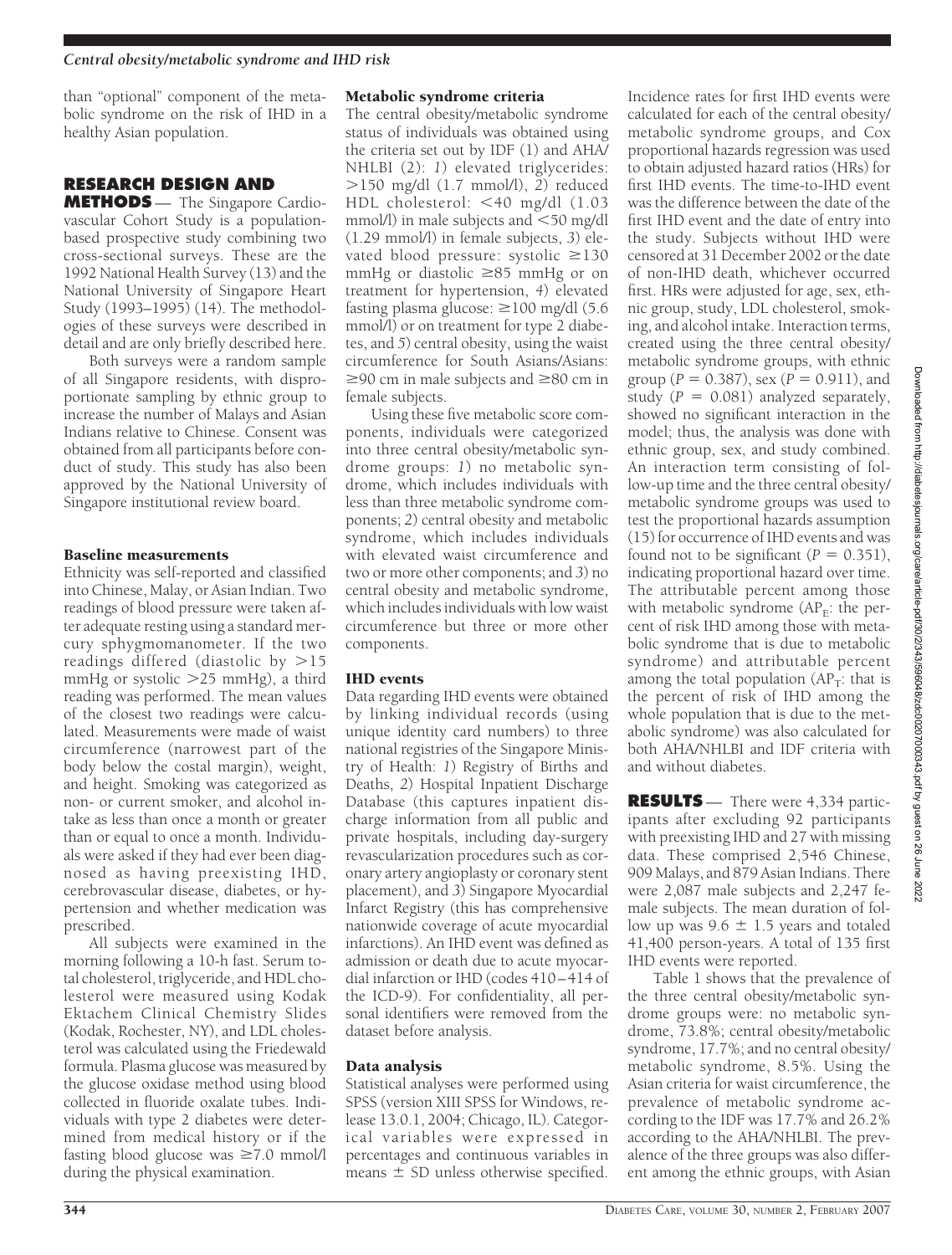than "optional" component of the metabolic syndrome on the risk of IHD in a healthy Asian population.

# **RESEARCH DESIGN AND**

**METHODS** — The Singapore Cardiovascular Cohort Study is a populationbased prospective study combining two cross-sectional surveys. These are the 1992 National Health Survey (13) and the National University of Singapore Heart Study (1993–1995) (14). The methodologies of these surveys were described in detail and are only briefly described here.

Both surveys were a random sample of all Singapore residents, with disproportionate sampling by ethnic group to increase the number of Malays and Asian Indians relative to Chinese. Consent was obtained from all participants before conduct of study. This study has also been approved by the National University of Singapore institutional review board.

### Baseline measurements

Ethnicity was self-reported and classified into Chinese, Malay, or Asian Indian. Two readings of blood pressure were taken after adequate resting using a standard mercury sphygmomanometer. If the two readings differed (diastolic by  $>15$ mmHg or systolic 25 mmHg), a third reading was performed. The mean values of the closest two readings were calculated. Measurements were made of waist circumference (narrowest part of the body below the costal margin), weight, and height. Smoking was categorized as non- or current smoker, and alcohol intake as less than once a month or greater than or equal to once a month. Individuals were asked if they had ever been diagnosed as having preexisting IHD, cerebrovascular disease, diabetes, or hypertension and whether medication was prescribed.

All subjects were examined in the morning following a 10-h fast. Serum total cholesterol, triglyceride, and HDL cholesterol were measured using Kodak Ektachem Clinical Chemistry Slides (Kodak, Rochester, NY), and LDL cholesterol was calculated using the Friedewald formula. Plasma glucose was measured by the glucose oxidase method using blood collected in fluoride oxalate tubes. Individuals with type 2 diabetes were determined from medical history or if the fasting blood glucose was  $\geq 7.0$  mmol/l during the physical examination.

#### Metabolic syndrome criteria

The central obesity/metabolic syndrome status of individuals was obtained using the criteria set out by IDF (1) and AHA/ NHLBI (2): *1*) elevated triglycerides: 150 mg/dl (1.7 mmol/l), *2*) reduced HDL cholesterol: <40 mg/dl (1.03 mmol/l) in male subjects and  $<$  50 mg/dl (1.29 mmol/l) in female subjects, *3*) elevated blood pressure: systolic  $\geq$ 130 mmHg or diastolic  $\geq 85$  mmHg or on treatment for hypertension, *4*) elevated fasting plasma glucose:  $\geq$ 100 mg/dl (5.6) mmol $\overline{1}$ ) or on treatment for type 2 diabetes, and *5*) central obesity, using the waist circumference for South Asians/Asians:  $\geq$ 90 cm in male subjects and  $\geq$ 80 cm in female subjects.

Using these five metabolic score components, individuals were categorized into three central obesity/metabolic syndrome groups: *1*) no metabolic syndrome, which includes individuals with less than three metabolic syndrome components; *2*) central obesity and metabolic syndrome, which includes individuals with elevated waist circumference and two or more other components; and *3*) no central obesity and metabolic syndrome, which includes individuals with low waist circumference but three or more other components.

# IHD events

Data regarding IHD events were obtained by linking individual records (using unique identity card numbers) to three national registries of the Singapore Ministry of Health: *1*) Registry of Births and Deaths, *2*) Hospital Inpatient Discharge Database (this captures inpatient discharge information from all public and private hospitals, including day-surgery revascularization procedures such as coronary artery angioplasty or coronary stent placement), and *3*) Singapore Myocardial Infarct Registry (this has comprehensive nationwide coverage of acute myocardial infarctions). An IHD event was defined as admission or death due to acute myocardial infarction or IHD (codes 410–414 of the ICD-9). For confidentiality, all personal identifiers were removed from the dataset before analysis.

# Data analysis

Statistical analyses were performed using SPSS (version XIII SPSS for Windows, release 13.0.1, 2004; Chicago, IL). Categorical variables were expressed in percentages and continuous variables in means  $\pm$  SD unless otherwise specified.

Incidence rates for first IHD events were calculated for each of the central obesity/ metabolic syndrome groups, and Cox proportional hazards regression was used to obtain adjusted hazard ratios (HRs) for first IHD events. The time-to-IHD event was the difference between the date of the first IHD event and the date of entry into the study. Subjects without IHD were censored at 31 December 2002 or the date of non-IHD death, whichever occurred first. HRs were adjusted for age, sex, ethnic group, study, LDL cholesterol, smoking, and alcohol intake. Interaction terms, created using the three central obesity/ metabolic syndrome groups, with ethnic group ( $P = 0.387$ ), sex ( $P = 0.911$ ), and study  $(P = 0.081)$  analyzed separately, showed no significant interaction in the model; thus, the analysis was done with ethnic group, sex, and study combined. An interaction term consisting of follow-up time and the three central obesity/ metabolic syndrome groups was used to test the proportional hazards assumption (15) for occurrence of IHD events and was found not to be significant  $(P = 0.351)$ , indicating proportional hazard over time. The attributable percent among those with metabolic syndrome  $(AP<sub>F</sub>:$  the percent of risk IHD among those with metabolic syndrome that is due to metabolic syndrome) and attributable percent among the total population  $(AP_T$ : that is the percent of risk of IHD among the whole population that is due to the metabolic syndrome) was also calculated for both AHA/NHLBI and IDF criteria with and without diabetes.

Downloaded from http://diabetesjournals.org/care/article-pdf/30/2/343/596048/zdc00207000343.pdf by guest on 26 June Downloaded from http://diabetesjournals.org/care/article-pdf/30/2/343/596048/zdc00207000343.pdf by guest on 26 June 2022

2022

**RESULTS** — There were 4,334 participants after excluding 92 participants with preexisting IHD and 27 with missing data. These comprised 2,546 Chinese, 909 Malays, and 879 Asian Indians. There were 2,087 male subjects and 2,247 female subjects. The mean duration of follow up was  $9.6 \pm 1.5$  years and totaled 41,400 person-years. A total of 135 first IHD events were reported.

Table 1 shows that the prevalence of the three central obesity/metabolic syndrome groups were: no metabolic syndrome, 73.8%; central obesity/metabolic syndrome, 17.7%; and no central obesity/ metabolic syndrome, 8.5%. Using the Asian criteria for waist circumference, the prevalence of metabolic syndrome according to the IDF was 17.7% and 26.2% according to the AHA/NHLBI. The prevalence of the three groups was also different among the ethnic groups, with Asian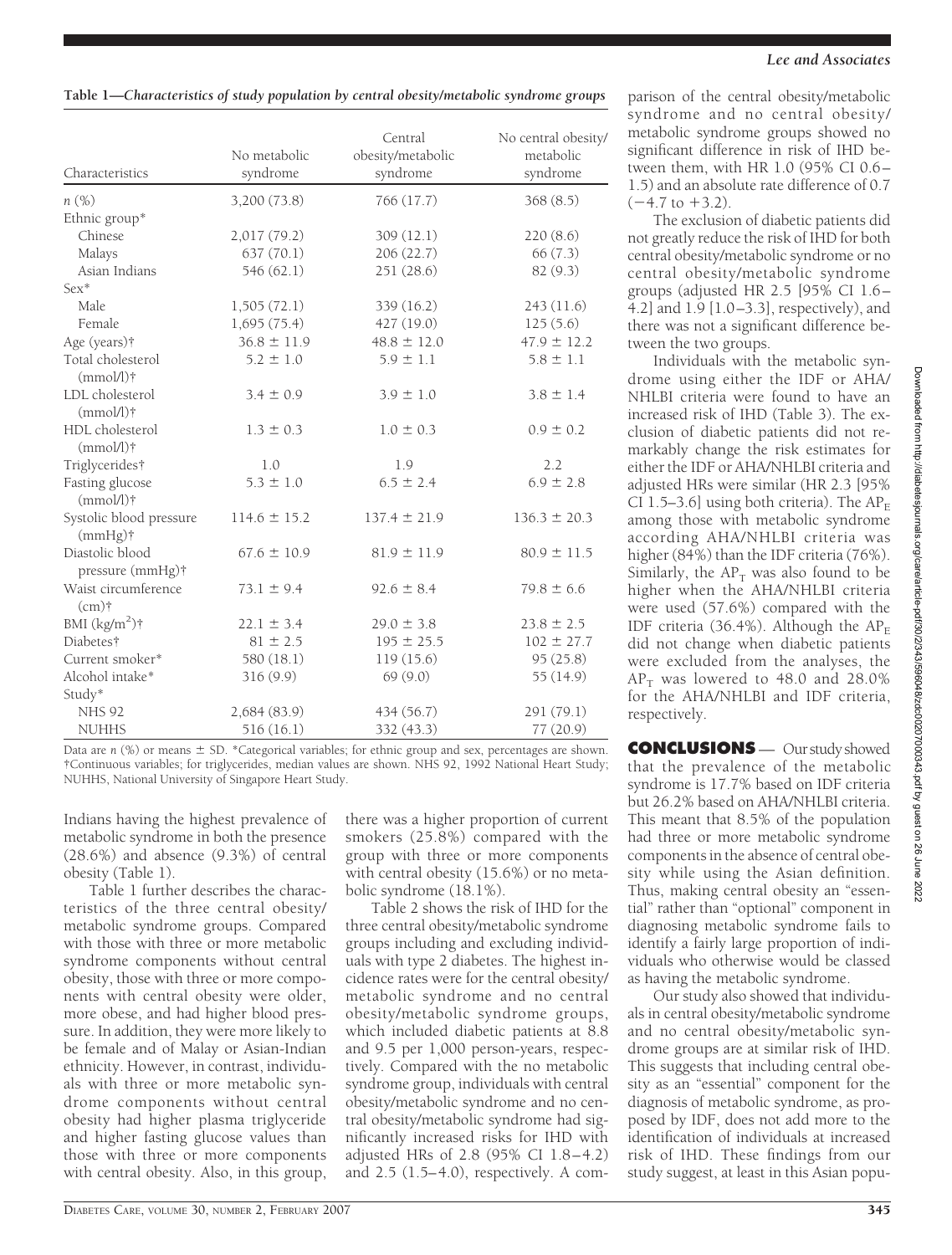| Characteristics                       | No metabolic<br>syndrome | Central<br>obesity/metabolic<br>syndrome | No central obesity/<br>metabolic<br>syndrome |  |
|---------------------------------------|--------------------------|------------------------------------------|----------------------------------------------|--|
| n(%)                                  | 3,200 (73.8)             | 766 (17.7)                               | 368(8.5)                                     |  |
| Ethnic group*                         |                          |                                          |                                              |  |
| Chinese                               | 2,017 (79.2)             | 309(12.1)                                | 220(8.6)                                     |  |
| Malays                                | 637(70.1)                | 206(22.7)                                | 66(7.3)                                      |  |
| Asian Indians                         | 546 (62.1)               | 251 (28.6)                               | 82 (9.3)                                     |  |
| Sex*                                  |                          |                                          |                                              |  |
| Male.                                 | 1,505(72.1)              | 339 (16.2)                               | 243(11.6)                                    |  |
| Female                                | 1,695(75.4)              | 427(19.0)                                | 125(5.6)                                     |  |
| Age (years) <sup>†</sup>              | $36.8 \pm 11.9$          | $48.8 \pm 12.0$                          | $47.9 \pm 12.2$                              |  |
| Total cholesterol<br>$(mmol/l)$ †     | $5.2 \pm 1.0$            | $5.9 \pm 1.1$                            | $5.8 \pm 1.1$                                |  |
| LDL cholesterol<br>$(mmol/l)$ †       | $3.4 \pm 0.9$            | $3.9 \pm 1.0$                            | $3.8 \pm 1.4$                                |  |
| HDL cholesterol<br>$(mmol/l)$ †       | $1.3 \pm 0.3$            | $1.0 \pm 0.3$                            | $0.9 \pm 0.2$                                |  |
| Triglycerides†                        | 1.0                      | 1.9                                      | 2.2                                          |  |
| Fasting glucose<br>$(mmol/l)$ †       | $5.3 \pm 1.0$            | $6.5 \pm 2.4$                            | $6.9 \pm 2.8$                                |  |
| Systolic blood pressure<br>$(mmHg)$ † | $114.6 \pm 15.2$         | $137.4 \pm 21.9$                         | $136.3 \pm 20.3$                             |  |
| Diastolic blood<br>pressure (mmHg)†   | $67.6 \pm 10.9$          | $81.9 \pm 11.9$                          | $80.9 \pm 11.5$                              |  |
| Waist circumference<br>$(cm)$ †       | $73.1 \pm 9.4$           | $92.6 \pm 8.4$                           | $79.8 \pm 6.6$                               |  |
| BMI $(kg/m^2)$ †                      | $22.1 \pm 3.4$           | $29.0 \pm 3.8$                           | $23.8 \pm 2.5$                               |  |
| Diabetes†                             | $81 \pm 2.5$             | $195 \pm 25.5$                           | $102 \pm 27.7$                               |  |
| Current smoker*                       | 580 (18.1)               | 119(15.6)                                | 95(25.8)                                     |  |
| Alcohol intake*                       | 316(9.9)                 | 69(9.0)                                  | 55(14.9)                                     |  |
| Study*                                |                          |                                          |                                              |  |
| <b>NHS 92</b>                         | 2,684(83.9)              | 434 (56.7)                               | 291 (79.1)                                   |  |
| <b>NUHHS</b>                          | 516 (16.1)               | 332 (43.3)                               | 77(20.9)                                     |  |

Data are  $n$  (%) or means  $\pm$  SD. \*Categorical variables; for ethnic group and sex, percentages are shown. †Continuous variables; for triglycerides, median values are shown. NHS 92, 1992 National Heart Study; NUHHS, National University of Singapore Heart Study.

Indians having the highest prevalence of metabolic syndrome in both the presence (28.6%) and absence (9.3%) of central obesity (Table 1).

Table 1 further describes the characteristics of the three central obesity/ metabolic syndrome groups. Compared with those with three or more metabolic syndrome components without central obesity, those with three or more components with central obesity were older, more obese, and had higher blood pressure. In addition, they were more likely to be female and of Malay or Asian-Indian ethnicity. However, in contrast, individuals with three or more metabolic syndrome components without central obesity had higher plasma triglyceride and higher fasting glucose values than those with three or more components with central obesity. Also, in this group,

there was a higher proportion of current smokers (25.8%) compared with the group with three or more components with central obesity (15.6%) or no metabolic syndrome (18.1%).

Table 2 shows the risk of IHD for the three central obesity/metabolic syndrome groups including and excluding individuals with type 2 diabetes. The highest incidence rates were for the central obesity/ metabolic syndrome and no central obesity/metabolic syndrome groups, which included diabetic patients at 8.8 and 9.5 per 1,000 person-years, respectively. Compared with the no metabolic syndrome group, individuals with central obesity/metabolic syndrome and no central obesity/metabolic syndrome had significantly increased risks for IHD with adjusted HRs of 2.8 (95% CI 1.8–4.2) and  $2.5$   $(1.5-4.0)$ , respectively. A com-

parison of the central obesity/metabolic syndrome and no central obesity/ metabolic syndrome groups showed no significant difference in risk of IHD between them, with HR 1.0 (95% CI 0.6– 1.5) and an absolute rate difference of 0.7  $(-4.7 \text{ to } +3.2)$ .

The exclusion of diabetic patients did not greatly reduce the risk of IHD for both central obesity/metabolic syndrome or no central obesity/metabolic syndrome groups (adjusted HR 2.5 [95% CI 1.6– 4.2] and 1.9 [1.0–3.3], respectively), and there was not a significant difference between the two groups.

Individuals with the metabolic syndrome using either the IDF or AHA/ NHLBI criteria were found to have an increased risk of IHD (Table 3). The exclusion of diabetic patients did not remarkably change the risk estimates for either the IDF or AHA/NHLBI criteria and adjusted HRs were similar (HR 2.3 [95% CI 1.5–3.6] using both criteria). The  $AP_F$ among those with metabolic syndrome according AHA/NHLBI criteria was higher (84%) than the IDF criteria (76%). Similarly, the  $AP<sub>T</sub>$  was also found to be higher when the AHA/NHLBI criteria were used (57.6%) compared with the IDF criteria (36.4%). Although the  $AP_F$ did not change when diabetic patients were excluded from the analyses, the  $AP<sub>T</sub>$  was lowered to 48.0 and 28.0% for the AHA/NHLBI and IDF criteria, respectively.

)ownloaded from http://diabetesjournals.org/care/article-pdf/30/2/343/59602070207020343.pdf by guest on 26 June Downloaded from http://diabetesjournals.org/care/article-pdf/30/2/343/596048/zdc00207000343.pdf by guest on 26 June 20222022

**CONCLUSIONS** — Ourstudyshowed that the prevalence of the metabolic syndrome is 17.7% based on IDF criteria but 26.2% based on AHA/NHLBI criteria. This meant that 8.5% of the population had three or more metabolic syndrome components in the absence of central obesity while using the Asian definition. Thus, making central obesity an "essential" rather than "optional" component in diagnosing metabolic syndrome fails to identify a fairly large proportion of individuals who otherwise would be classed as having the metabolic syndrome.

Our study also showed that individuals in central obesity/metabolic syndrome and no central obesity/metabolic syndrome groups are at similar risk of IHD. This suggests that including central obesity as an "essential" component for the diagnosis of metabolic syndrome, as proposed by IDF, does not add more to the identification of individuals at increased risk of IHD. These findings from our study suggest, at least in this Asian popu-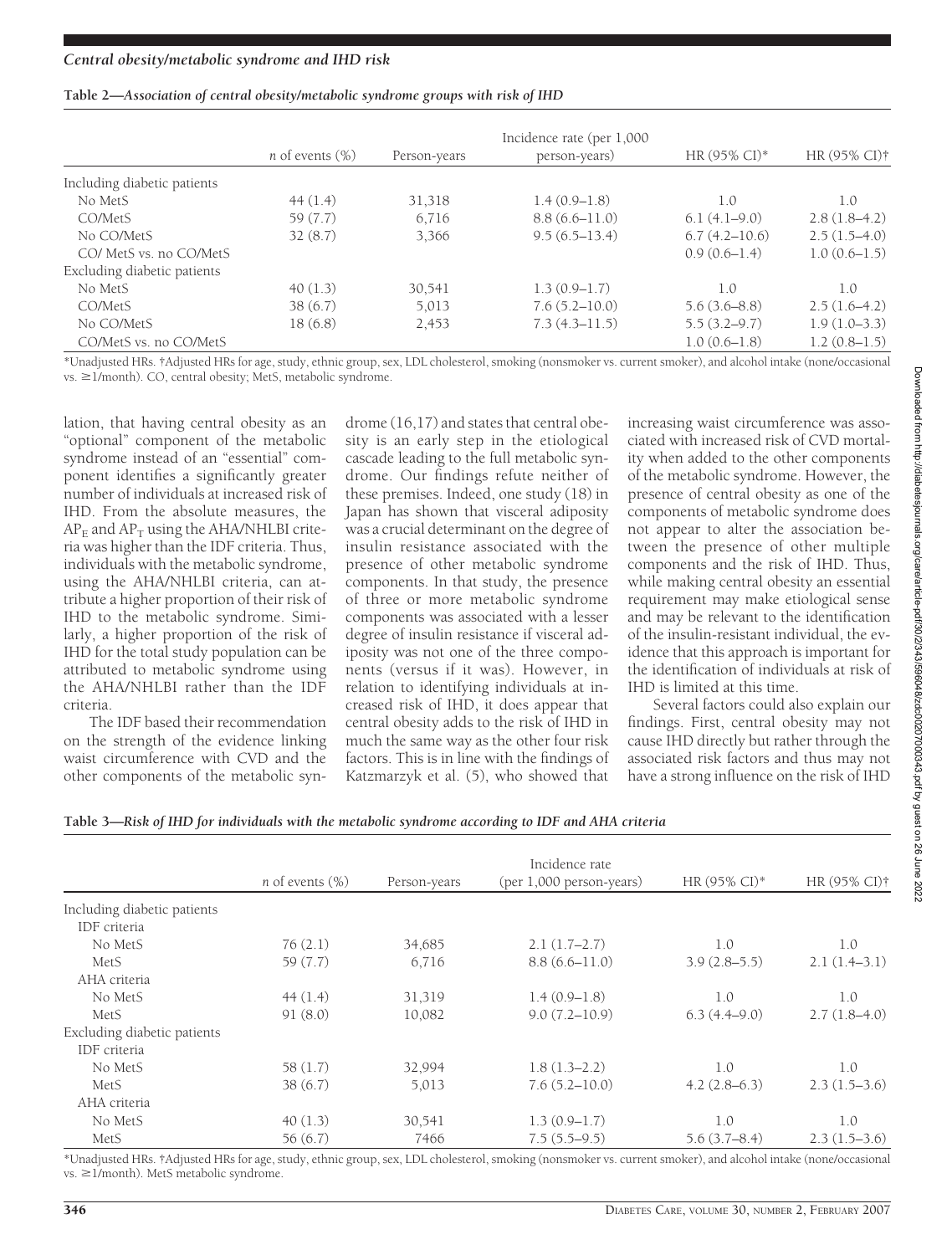#### **Table 2—***Association of central obesity/metabolic syndrome groups with risk of IHD*

|                             | <i>n</i> of events $(\%)$ | Person-years | Incidence rate (per 1,000<br>person-years) | HR $(95\%$ CI)* | HR (95% CI) <sup>†</sup> |
|-----------------------------|---------------------------|--------------|--------------------------------------------|-----------------|--------------------------|
|                             |                           |              |                                            |                 |                          |
| Including diabetic patients |                           |              |                                            |                 |                          |
| No MetS                     | 44(1.4)                   | 31,318       | $1.4(0.9-1.8)$                             | 1.0             | 1.0                      |
| CO/MetS                     | 59 (7.7)                  | 6,716        | $8.8(6.6 - 11.0)$                          | $6.1(4.1-9.0)$  | $2.8(1.8-4.2)$           |
| No CO/MetS                  | 32(8.7)                   | 3,366        | $9.5(6.5-13.4)$                            | 6.7(4.2–10.6)   | $2.5(1.5-4.0)$           |
| CO/ MetS vs. no CO/MetS     |                           |              |                                            | $0.9(0.6-1.4)$  | $1.0(0.6-1.5)$           |
| Excluding diabetic patients |                           |              |                                            |                 |                          |
| No MetS                     | 40(1.3)                   | 30,541       | $1.3(0.9-1.7)$                             | 1.0             | 1.0                      |
| CO/MetS                     | 38(6.7)                   | 5,013        | $7.6(5.2 - 10.0)$                          | $5.6(3.6-8.8)$  | $2.5(1.6-4.2)$           |
| No CO/MetS                  | 18(6.8)                   | 2,453        | $7.3(4.3 - 11.5)$                          | $5.5(3.2-9.7)$  | $1.9(1.0-3.3)$           |
| CO/MetS vs. no CO/MetS      |                           |              |                                            | $1.0(0.6-1.8)$  | $1.2(0.8-1.5)$           |

\*Unadjusted HRs. †Adjusted HRs for age, study, ethnic group, sex, LDL cholesterol, smoking (nonsmoker vs. current smoker), and alcohol intake (none/occasional  $vs. \geq 1/month$ ). CO, central obesity; MetS, metabolic syndrome.

lation, that having central obesity as an "optional" component of the metabolic syndrome instead of an "essential" component identifies a significantly greater number of individuals at increased risk of IHD. From the absolute measures, the  $AP<sub>F</sub>$  and  $AP<sub>T</sub>$  using the AHA/NHLBI criteria was higher than the IDF criteria. Thus, individuals with the metabolic syndrome, using the AHA/NHLBI criteria, can attribute a higher proportion of their risk of IHD to the metabolic syndrome. Similarly, a higher proportion of the risk of IHD for the total study population can be attributed to metabolic syndrome using the AHA/NHLBI rather than the IDF criteria.

The IDF based their recommendation on the strength of the evidence linking waist circumference with CVD and the other components of the metabolic syn-

drome (16,17) and states that central obesity is an early step in the etiological cascade leading to the full metabolic syndrome. Our findings refute neither of these premises. Indeed, one study (18) in Japan has shown that visceral adiposity was a crucial determinant on the degree of insulin resistance associated with the presence of other metabolic syndrome components. In that study, the presence of three or more metabolic syndrome components was associated with a lesser degree of insulin resistance if visceral adiposity was not one of the three components (versus if it was). However, in relation to identifying individuals at increased risk of IHD, it does appear that central obesity adds to the risk of IHD in much the same way as the other four risk factors. This is in line with the findings of Katzmarzyk et al. (5), who showed that

increasing waist circumference was associated with increased risk of CVD mortality when added to the other components of the metabolic syndrome. However, the presence of central obesity as one of the components of metabolic syndrome does not appear to alter the association between the presence of other multiple components and the risk of IHD. Thus, while making central obesity an essential requirement may make etiological sense and may be relevant to the identification of the insulin-resistant individual, the evidence that this approach is important for the identification of individuals at risk of IHD is limited at this time.

Several factors could also explain our findings. First, central obesity may not cause IHD directly but rather through the associated risk factors and thus may not have a strong influence on the risk of IHD

#### **Table 3—***Risk of IHD for individuals with the metabolic syndrome according to IDF and AHA criteria*

|                             |                           |              | Incidence rate           |                          |                |
|-----------------------------|---------------------------|--------------|--------------------------|--------------------------|----------------|
|                             | <i>n</i> of events $(\%)$ | Person-years | (per 1,000 person-years) | HR $(95\% \text{ CI})^*$ | HR (95% CI)†   |
| Including diabetic patients |                           |              |                          |                          |                |
| IDF criteria                |                           |              |                          |                          |                |
| No MetS                     | 76(2.1)                   | 34,685       | $2.1(1.7-2.7)$           | 1.0                      | 1.0            |
| MetS                        | 59 (7.7)                  | 6,716        | $8.8(6.6 - 11.0)$        | $3.9(2.8-5.5)$           | $2.1(1.4-3.1)$ |
| AHA criteria                |                           |              |                          |                          |                |
| No MetS                     | 44(1.4)                   | 31,319       | $1.4(0.9-1.8)$           | 1.0                      | 1.0            |
| MetS                        | 91(8.0)                   | 10,082       | $9.0(7.2 - 10.9)$        | $6.3(4.4-9.0)$           | $2.7(1.8-4.0)$ |
| Excluding diabetic patients |                           |              |                          |                          |                |
| IDF criteria                |                           |              |                          |                          |                |
| No MetS                     | 58(1.7)                   | 32,994       | $1.8(1.3-2.2)$           | 1.0                      | 1.0            |
| MetS                        | 38(6.7)                   | 5,013        | $7.6(5.2 - 10.0)$        | $4.2(2.8-6.3)$           | $2.3(1.5-3.6)$ |
| AHA criteria                |                           |              |                          |                          |                |
| No MetS                     | 40(1.3)                   | 30,541       | $1.3(0.9-1.7)$           | 1.0                      | 1.0            |
| MetS                        | 56(6.7)                   | 7466         | $7.5(5.5-9.5)$           | 5.6(3.7–8.4)             | $2.3(1.5-3.6)$ |

\*Unadjusted HRs. †Adjusted HRs for age, study, ethnic group, sex, LDL cholesterol, smoking (nonsmoker vs. current smoker), and alcohol intake (none/occasional  $vs. \geq 1/month$ ). MetS metabolic syndrome.